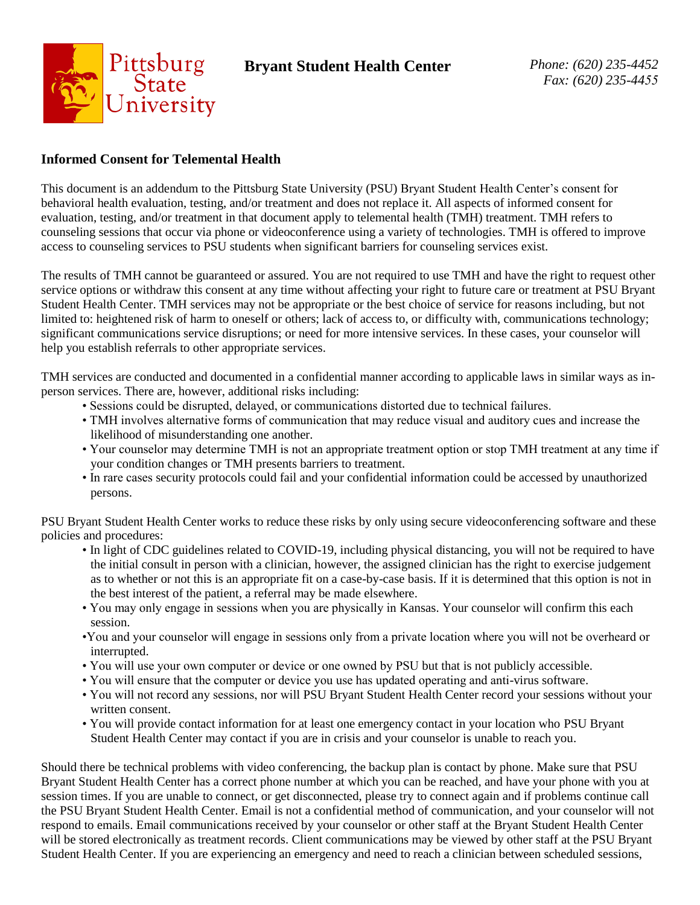

## **Informed Consent for Telemental Health**

This document is an addendum to the Pittsburg State University (PSU) Bryant Student Health Center's consent for behavioral health evaluation, testing, and/or treatment and does not replace it. All aspects of informed consent for evaluation, testing, and/or treatment in that document apply to telemental health (TMH) treatment. TMH refers to counseling sessions that occur via phone or videoconference using a variety of technologies. TMH is offered to improve access to counseling services to PSU students when significant barriers for counseling services exist.

The results of TMH cannot be guaranteed or assured. You are not required to use TMH and have the right to request other service options or withdraw this consent at any time without affecting your right to future care or treatment at PSU Bryant Student Health Center. TMH services may not be appropriate or the best choice of service for reasons including, but not limited to: heightened risk of harm to oneself or others; lack of access to, or difficulty with, communications technology; significant communications service disruptions; or need for more intensive services. In these cases, your counselor will help you establish referrals to other appropriate services.

TMH services are conducted and documented in a confidential manner according to applicable laws in similar ways as inperson services. There are, however, additional risks including:

- Sessions could be disrupted, delayed, or communications distorted due to technical failures.
- TMH involves alternative forms of communication that may reduce visual and auditory cues and increase the likelihood of misunderstanding one another.
- Your counselor may determine TMH is not an appropriate treatment option or stop TMH treatment at any time if your condition changes or TMH presents barriers to treatment.
- In rare cases security protocols could fail and your confidential information could be accessed by unauthorized persons.

PSU Bryant Student Health Center works to reduce these risks by only using secure videoconferencing software and these policies and procedures:

- In light of CDC guidelines related to COVID-19, including physical distancing, you will not be required to have the initial consult in person with a clinician, however, the assigned clinician has the right to exercise judgement as to whether or not this is an appropriate fit on a case-by-case basis. If it is determined that this option is not in the best interest of the patient, a referral may be made elsewhere.
- You may only engage in sessions when you are physically in Kansas. Your counselor will confirm this each session.
- •You and your counselor will engage in sessions only from a private location where you will not be overheard or interrupted.
- You will use your own computer or device or one owned by PSU but that is not publicly accessible.
- You will ensure that the computer or device you use has updated operating and anti-virus software.
- You will not record any sessions, nor will PSU Bryant Student Health Center record your sessions without your written consent.
- You will provide contact information for at least one emergency contact in your location who PSU Bryant Student Health Center may contact if you are in crisis and your counselor is unable to reach you.

Should there be technical problems with video conferencing, the backup plan is contact by phone. Make sure that PSU Bryant Student Health Center has a correct phone number at which you can be reached, and have your phone with you at session times. If you are unable to connect, or get disconnected, please try to connect again and if problems continue call the PSU Bryant Student Health Center. Email is not a confidential method of communication, and your counselor will not respond to emails. Email communications received by your counselor or other staff at the Bryant Student Health Center will be stored electronically as treatment records. Client communications may be viewed by other staff at the PSU Bryant Student Health Center. If you are experiencing an emergency and need to reach a clinician between scheduled sessions,